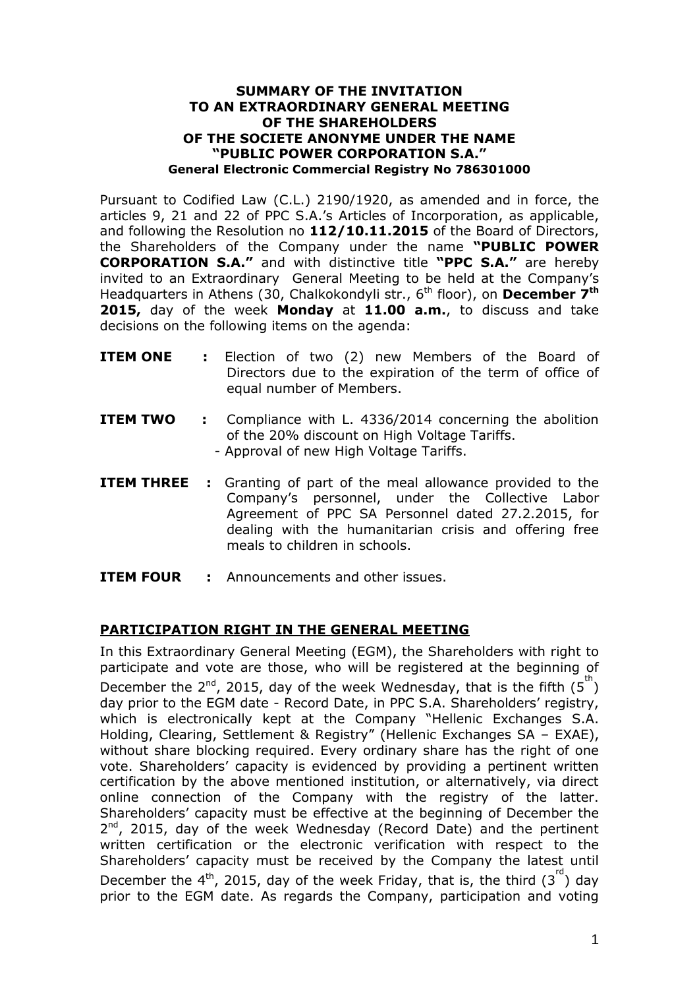## **SUMMARY OF THE INVITATION TO AN EXTRAORDINARY GENERAL MEETING OF THE SHAREHOLDERS OF THE SOCIETE ANONYME UNDER THE NAME "PUBLIC POWER CORPORATION S.A." General Electronic Commercial Registry No 786301000**

Pursuant to Codified Law (C.L.) 2190/1920, as amended and in force, the articles 9, 21 and 22 of PPC S.A.'s Articles of Incorporation, as applicable, and following the Resolution no **112/10.11.2015** of the Board of Directors, the Shareholders of the Company under the name **"PUBLIC POWER CORPORATION S.A."** and with distinctive title **"PPC S.A."** are hereby invited to an Extraordinary General Meeting to be held at the Company's Headquarters in Athens (30, Chalkokondyli str., 6<sup>th</sup> floor), on December 7<sup>th</sup> **2015,** day of the week **Monday** at **11.00 a.m.**, to discuss and take decisions on the following items on the agenda:

- **ITEM ONE :** Election of two (2) new Members of the Board of Directors due to the expiration of the term of office of equal number of Members.
- **ITEM TWO** : Compliance with L. 4336/2014 concerning the abolition of the 20% discount on High Voltage Tariffs. - Approval of new High Voltage Tariffs.
- **ITEM THREE** : Granting of part of the meal allowance provided to the Company's personnel, under the Collective Labor Agreement of PPC SA Personnel dated 27.2.2015, for dealing with the humanitarian crisis and offering free meals to children in schools.
- **ITEM FOUR :** Announcements and other issues.

## **PARTICIPATION RIGHT IN THE GENERAL MEETING**

In this Extraordinary General Meeting (EGM), the Shareholders with right to participate and vote are those, who will be registered at the beginning of December the 2<sup>nd</sup>, 2015, day of the week Wednesday, that is the fifth  $(5^{th})$ day prior to the EGM date - Record Date, in PPC S.A. Shareholders' registry, which is electronically kept at the Company "Hellenic Exchanges S.A. Holding, Clearing, Settlement & Registry" (Hellenic Exchanges SA – EXAE), without share blocking required. Every ordinary share has the right of one vote. Shareholders' capacity is evidenced by providing a pertinent written certification by the above mentioned institution, or alternatively, via direct online connection of the Company with the registry of the latter. Shareholders' capacity must be effective at the beginning of December the 2<sup>nd</sup>, 2015, day of the week Wednesday (Record Date) and the pertinent written certification or the electronic verification with respect to the Shareholders' capacity must be received by the Company the latest until December the 4<sup>th</sup>, 2015, day of the week Friday, that is, the third  $(3^{rd})$  day prior to the EGM date. As regards the Company, participation and voting